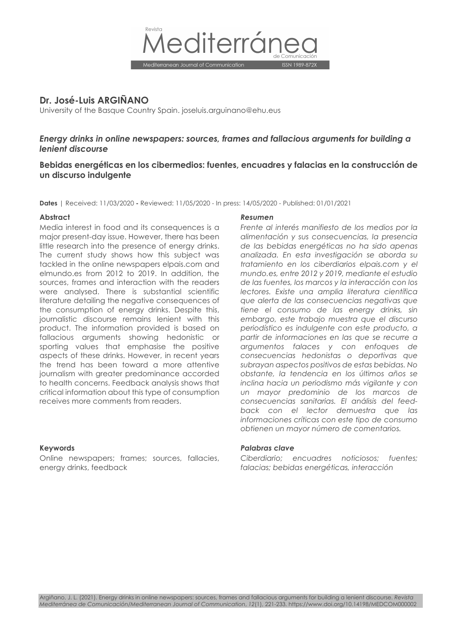

# **Dr. José-Luis ARGIÑANO**

University of the Basque Country Spain. joseluis.arguinano@ehu.eus

# *Energy drinks in online newspapers: sources, frames and fallacious arguments for building a lenient discourse*

# **Bebidas energéticas en los cibermedios: fuentes, encuadres y falacias en la construcción de un discurso indulgente**

**Dates** | Received: 11/03/2020 **-** Reviewed: 11/05/2020 - In press: 14/05/2020 - Published: 01/01/2021

Media interest in food and its consequences is a major present-day issue. However, there has been little research into the presence of energy drinks. The current study shows how this subject was tackled in the online newspapers elpais.com and elmundo.es from 2012 to 2019. In addition, the sources, frames and interaction with the readers were analysed. There is substantial scientific literature detailing the negative consequences of the consumption of energy drinks. Despite this, journalistic discourse remains lenient with this product. The information provided is based on fallacious arguments showing hedonistic or sporting values that emphasise the positive aspects of these drinks. However, in recent years the trend has been toward a more attentive journalism with greater predominance accorded to health concerns. Feedback analysis shows that critical information about this type of consumption receives more comments from readers.

Online newspapers; frames; sources, fallacies, energy drinks, feedback

#### **Abstract** *Resumen*

*Frente al interés manifiesto de los medios por la alimentación y sus consecuencias, la presencia de las bebidas energéticas no ha sido apenas analizada. En esta investigación se aborda su tratamiento en los ciberdiarios elpais.com y el mundo.es, entre 2012 y 2019, mediante el estudio de las fuentes, los marcos y la interacción con los lectores. Existe una amplia literatura científica que alerta de las consecuencias negativas que tiene el consumo de las energy drinks, sin embargo, este trabajo muestra que el discurso periodístico es indulgente con este producto, a partir de informaciones en las que se recurre a argumentos falaces y con enfoques de consecuencias hedonistas o deportivas que subrayan aspectos positivos de estas bebidas. No obstante, la tendencia en los últimos años se inclina hacia un periodismo más vigilante y con un mayor predominio de los marcos de consecuencias sanitarias. El análisis del feedback con el lector demuestra que las informaciones críticas con este tipo de consumo obtienen un mayor número de comentarios.*

#### **Keywords** *Palabras clave*

*Ciberdiario; encuadres noticiosos; fuentes; falacias; bebidas energéticas, interacción*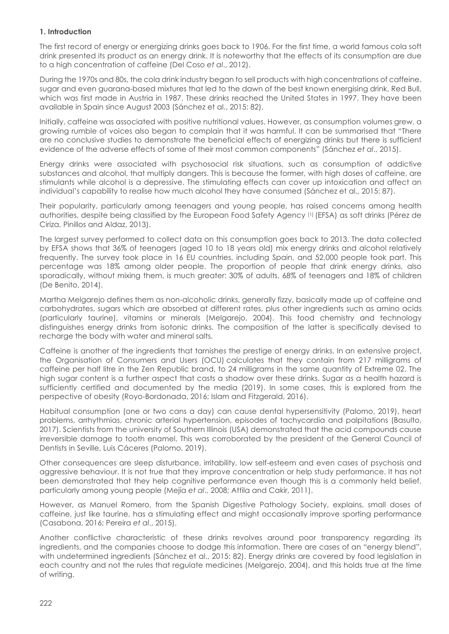# **1. Introduction**

The first record of energy or energizing drinks goes back to 1906. For the first time, a world famous cola soft drink presented its product as an energy drink. It is noteworthy that the effects of its consumption are due to a high concentration of caffeine (Del Coso *et al*., 2012).

During the 1970s and 80s, the cola drink industry began to sell products with high concentrations of caffeine, sugar and even guarana-based mixtures that led to the dawn of the best known energising drink, Red Bull, which was first made in Austria in 1987. These drinks reached the United States in 1997. They have been available in Spain since August 2003 (Sánchez et al., 2015: 82).

Initially, caffeine was associated with positive nutritional values. However, as consumption volumes grew, a growing rumble of voices also began to complain that it was harmful. It can be summarised that "There are no conclusive studies to demonstrate the beneficial effects of energizing drinks but there is sufficient evidence of the adverse effects of some of their most common components" (Sánchez *et al*., 2015).

Energy drinks were associated with psychosocial risk situations, such as consumption of addictive substances and alcohol, that multiply dangers. This is because the former, with high doses of caffeine, are stimulants while alcohol is a depressive. The stimulating effects can cover up intoxication and affect an individual's capability to realise how much alcohol they have consumed (Sánchez et al., 2015: 87).

Their popularity, particularly among teenagers and young people, has raised concerns among health authorities, despite being classified by the European Food Safety Agency [1] (EFSA) as soft drinks (Pérez de Ciriza, Pinillos and Aldaz, 2013).

The largest survey performed to collect data on this consumption goes back to 2013. The data collected by EFSA shows that 36% of teenagers (aged 10 to 18 years old) mix energy drinks and alcohol relatively frequently. The survey took place in 16 EU countries, including Spain, and 52,000 people took part. This percentage was 18% among older people. The proportion of people that drink energy drinks, also sporadically, without mixing them, is much greater: 30% of adults, 68% of teenagers and 18% of children (De Benito, 2014).

Martha Melgarejo defines them as non-alcoholic drinks, generally fizzy, basically made up of caffeine and carbohydrates, sugars which are absorbed at different rates, plus other ingredients such as amino acids (particularly taurine), vitamins or minerals (Melgarejo, 2004). This food chemistry and technology distinguishes energy drinks from isotonic drinks. The composition of the latter is specifically devised to recharge the body with water and mineral salts.

Caffeine is another of the ingredients that tarnishes the prestige of energy drinks. In an extensive project, the Organisation of Consumers and Users (OCU) calculates that they contain from 217 milligrams of caffeine per half litre in the Zen Republic brand, to 24 milligrams in the same quantity of Extreme 02. The high sugar content is a further aspect that casts a shadow over these drinks. Sugar as a health hazard is sufficiently certified and documented by the media (2019). In some cases, this is explored from the perspective of obesity (Royo-Bordonada, 2016; Islam and Fitzgerald, 2016).

Habitual consumption (one or two cans a day) can cause dental hypersensitivity (Palomo, 2019), heart problems, arrhythmias, chronic arterial hypertension, episodes of tachycardia and palpitations (Basulto, 2017). Scientists from the university of Southern Illinois (USA) demonstrated that the acid compounds cause irreversible damage to tooth enamel. This was corroborated by the president of the General Council of Dentists in Seville, Luis Cáceres (Palomo, 2019).

Other consequences are sleep disturbance, irritability, low self-esteem and even cases of psychosis and aggressive behaviour. It is not true that they improve concentration or help study performance. It has not been demonstrated that they help cognitive performance even though this is a commonly held belief, particularly among young people (Mejía *et al*., 2008; Attila and Cakir, 2011).

However, as Manuel Romero, from the Spanish Digestive Pathology Society, explains, small doses of caffeine, just like taurine, has a stimulating effect and might occasionally improve sporting performance (Casabona, 2016; Pereira *et al*., 2015).

Another conflictive characteristic of these drinks revolves around poor transparency regarding its ingredients, and the companies choose to dodge this information. There are cases of an "energy blend", with undetermined ingredients (Sánchez et al., 2015: 82). Energy drinks are covered by food legislation in each country and not the rules that regulate medicines (Melgarejo, 2004), and this holds true at the time of writing.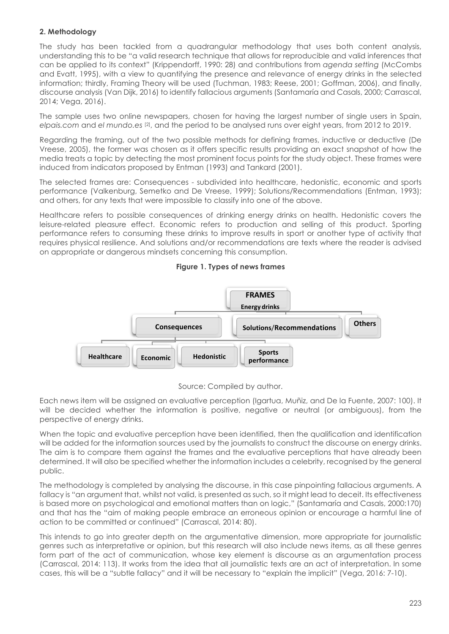# **2. Methodology**

The study has been tackled from a quadrangular methodology that uses both content analysis, understanding this to be "a valid research technique that allows for reproducible and valid inferences that can be applied to its context" (Krippendorff, 1990: 28) and contributions from *agenda setting* (McCombs and Evatt, 1995), with a view to quantifying the presence and relevance of energy drinks in the selected information; thirdly, Framing Theory will be used (Tuchman, 1983; Reese, 2001; Goffman, 2006), and finally, discourse analysis (Van Dijk, 2016) to identify fallacious arguments (Santamaría and Casals, 2000; Carrascal, 2014; Vega, 2016).

The sample uses two online newspapers, chosen for having the largest number of single users in Spain, *elpais.com* and *el mundo.es* [2], and the period to be analysed runs over eight years, from 2012 to 2019.

Regarding the framing, out of the two possible methods for defining frames, inductive or deductive (De Vreese, 2005), the former was chosen as it offers specific results providing an exact snapshot of how the media treats a topic by detecting the most prominent focus points for the study object. These frames were induced from indicators proposed by Entman (1993) and Tankard (2001).

The selected frames are: Consequences - subdivided into healthcare, hedonistic, economic and sports performance (Valkenburg, Semetko and De Vreese, 1999); Solutions/Recommendations (Entman, 1993); and others, for any texts that were impossible to classify into one of the above.

Healthcare refers to possible consequences of drinking energy drinks on health. Hedonistic covers the leisure-related pleasure effect. Economic refers to production and selling of this product. Sporting performance refers to consuming these drinks to improve results in sport or another type of activity that requires physical resilience. And solutions and/or recommendations are texts where the reader is advised on appropriate or dangerous mindsets concerning this consumption.







Each news item will be assigned an evaluative perception (Igartua, Muñiz, and De la Fuente, 2007: 100). It will be decided whether the information is positive, negative or neutral (or ambiguous), from the perspective of energy drinks.

When the topic and evaluative perception have been identified, then the qualification and identification will be added for the information sources used by the journalists to construct the discourse on energy drinks. The aim is to compare them against the frames and the evaluative perceptions that have already been determined. It will also be specified whether the information includes a celebrity, recognised by the general public.

The methodology is completed by analysing the discourse, in this case pinpointing fallacious arguments. A fallacy is "an argument that, whilst not valid, is presented as such, so it might lead to deceit. Its effectiveness is based more on psychological and emotional matters than on logic," (Santamaría and Casals, 2000:170) and that has the "aim of making people embrace an erroneous opinion or encourage a harmful line of action to be committed or continued" (Carrascal, 2014: 80).

This intends to go into greater depth on the argumentative dimension, more appropriate for journalistic genres such as interpretative or opinion, but this research will also include news items, as all these genres form part of the act of communication, whose key element is discourse as an argumentation process (Carrascal, 2014: 113). It works from the idea that all journalistic texts are an act of interpretation. In some cases, this will be a "subtle fallacy" and it will be necessary to "explain the implicit" (Vega, 2016: 7-10).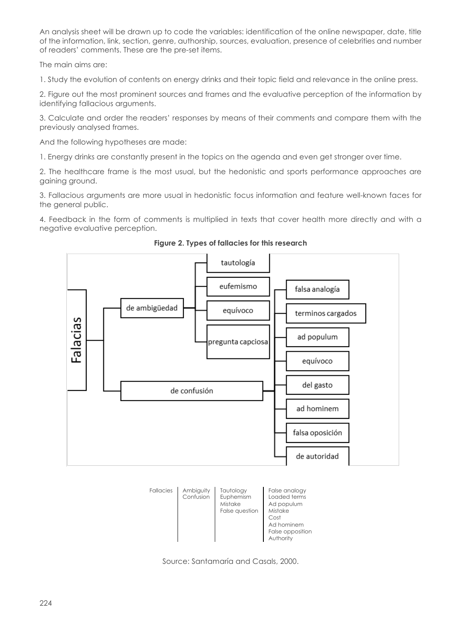An analysis sheet will be drawn up to code the variables: identification of the online newspaper, date, title of the information, link, section, genre, authorship, sources, evaluation, presence of celebrities and number of readers' comments. These are the pre-set items.

The main aims are:

1. Study the evolution of contents on energy drinks and their topic field and relevance in the online press.

2. Figure out the most prominent sources and frames and the evaluative perception of the information by identifying fallacious arguments.

3. Calculate and order the readers' responses by means of their comments and compare them with the previously analysed frames.

And the following hypotheses are made:

1. Energy drinks are constantly present in the topics on the agenda and even get stronger over time.

2. The healthcare frame is the most usual, but the hedonistic and sports performance approaches are gaining ground.

3. Fallacious arguments are more usual in hedonistic focus information and feature well-known faces for the general public.

4. Feedback in the form of comments is multiplied in texts that cover health more directly and with a negative evaluative perception.



**Figure 2. Types of fallacies for this research**



Source: Santamaría and Casals, 2000.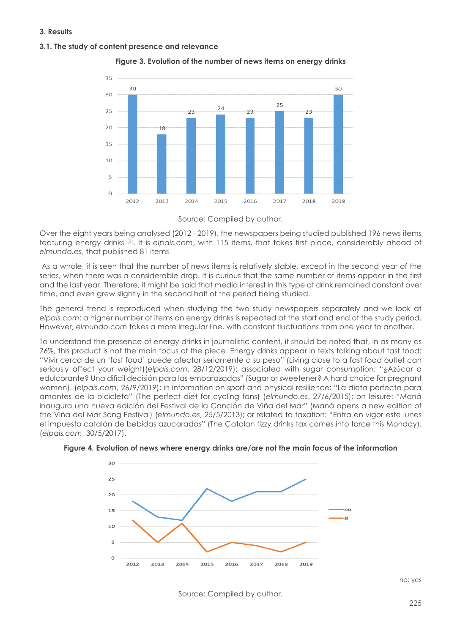#### **3. Results**

#### **3.1. The study of content presence and relevance**



**Figure 3. Evolution of the number of news items on energy drinks**

Over the eight years being analysed (2012 - 2019), the newspapers being studied published 196 news items featuring energy drinks [3]. It is *elpais.com*, with 115 items, that takes first place, considerably ahead of *elmundo.es*, that published 81 items

As a whole, it is seen that the number of news items is relatively stable, except in the second year of the series, when there was a considerable drop. It is curious that the same number of items appear in the first and the last year. Therefore, it might be said that media interest in this type of drink remained constant over time, and even grew slightly in the second half of the period being studied.

The general trend is reproduced when studying the two study newspapers separately and we look at *elpais.com*: a higher number of items on energy drinks is repeated at the start and end of the study period. However, *elmundo.com* takes a more irregular line, with constant fluctuations from one year to another.

To understand the presence of energy drinks in journalistic content, it should be noted that, in as many as 76%, this product is not the main focus of the piece. Energy drinks appear in texts talking about fast food: "Vivir cerca de un 'fast food' puede afectar seriamente a su peso" (Living close to a fast food outlet can seriously affect your weight)(*elpais.com*, 28/12/2019); associated with sugar consumption: "¿Azúcar o edulcorante? Una difícil decisión para las embarazadas" (Sugar or sweetener? A hard choice for pregnant women). (*elpais.com*, 26/9/2019); in information on sport and physical resilience: "La dieta perfecta para amantes de la bicicleta" (The perfect diet for cycling fans) (*elmundo.es*, 27/6/2015); on leisure: "Maná inaugura una nueva edición del Festival de la Canción de Viña del Mar" (Maná opens a new edition of the Viña del Mar Song Festival) (*elmundo.es*, 25/5/2013); or related to taxation: "Entra en vigor este lunes el impuesto catalán de bebidas azucaradas" (The Catalan fizzy drinks tax comes into force this Monday). (*elpais.com*, 30/5/2017).





Source: Compiled by author.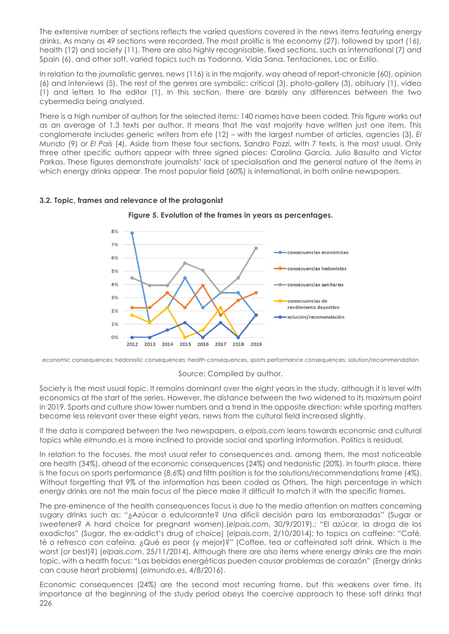The extensive number of sections reflects the varied questions covered in the news items featuring energy drinks. As many as 49 sections were recorded. The most prolific is the economy (27), followed by sport (16), health (12) and society (11). There are also highly recognisable, fixed sections, such as international (7) and Spain (6), and other soft, varied topics such as Yodonna, Vida Sana, Tentaciones, Loc or Estilo.

In relation to the journalistic genres, news (116) is in the majority, way ahead of report-chronicle (60), opinion (6) and interviews (5). The rest of the genres are symbolic: critical (3), photo-gallery (3), obituary (1), video (1) and letters to the editor (1). In this section, there are barely any differences between the two cybermedia being analysed.

There is a high number of authors for the selected items: 140 names have been coded. This figure works out as an average of 1.3 texts per author. It means that the vast majority have written just one item. This conglomerate includes generic writers from efe (12) – with the largest number of articles, agencies (3), *El Mundo* (9) or *El País* (4). Aside from these four sections, Sandro Pozzi, with 7 texts, is the most usual. Only three other specific authors appear with three signed pieces: Carolina García, Julio Basulto and Victor Parkas. These figures demonstrate journalists' lack of specialisation and the general nature of the items in which energy drinks appear. The most popular field (60%) is international, in both online newspapers.

**Figure 5. Evolution of the frames in years as percentages.**

#### $8%$  $70/$ consecuencias económicas 6% consecuencias hedonistas 5%  $4%$ consecuencias sanitarias  $2%$ consecuencias de rendimiento deportivo  $2%$ solución/recomendación  $1%$  $0\%$ 2012 2013 2014 2015 2016 2017 2018 2019

#### **3.2. Topic, frames and relevance of the protagonist**

economic consequences; hedonistic consequences; health consequences, sports performance consequences; solution/recommendation

#### Source: Compiled by author.

Society is the most usual topic. It remains dominant over the eight years in the study, although it is level with economics at the start of the series. However, the distance between the two widened to its maximum point in 2019. Sports and culture show lower numbers and a trend in the opposite direction: while sporting matters become less relevant over these eight years, news from the cultural field increased slightly.

If the data is compared between the two newspapers, a *elpais.com* leans towards economic and cultural topics while *elmundo.es* is more inclined to provide social and sporting information. Politics is residual.

In relation to the focuses, the most usual refer to consequences and, among them, the most noticeable are health (34%), ahead of the economic consequences (24%) and hedonistic (20%). In fourth place, there is the focus on sports performance (8.6%) and fifth position is for the solutions/recommendations frame (4%). Without forgetting that 9% of the information has been coded as Others. The high percentage in which energy drinks are not the main focus of the piece make it difficult to match it with the specific frames.

The pre-eminence of the health consequences focus is due to the media attention on matters concerning sugary drinks such as: "¿Azúcar o edulcorante? Una difícil decisión para las embarazadas" (Sugar or sweetener? A hard choice for pregnant women).(*elpais.com*, 30/9/2019).; "El azúcar, la droga de los exadictos" (Sugar, the ex-addict's drug of choice) (*elpais.com*, 2/10/2014); to topics on caffeine: "Café, té o refresco con cafeína. ¿Qué es peor (y mejor)?" (Coffee, tea or caffeinated soft drink. Which is the worst (or best)?) (*elpais.com*, 25/11/2014). Although there are also items where energy drinks are the main topic, with a health focus: "Las bebidas energéticas pueden causar problemas de corazón" (Energy drinks can cause heart problems) (*elmundo.es*, 4/8/2016).

226 Economic consequences (24%) are the second most recurring frame, but this weakens over time. Its importance at the beginning of the study period obeys the coercive approach to these soft drinks that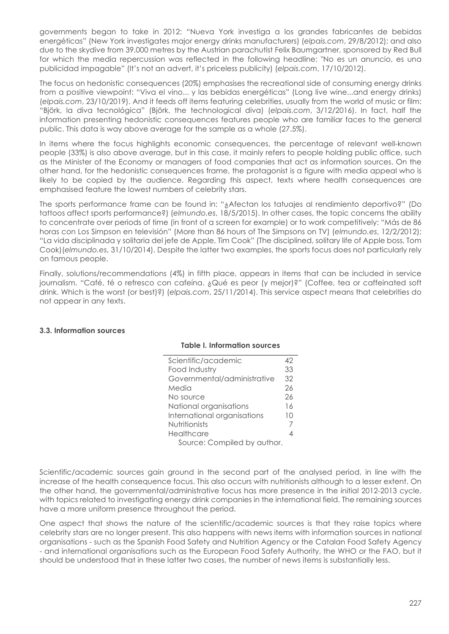governments began to take in 2012: "Nueva York investiga a los grandes fabricantes de bebidas energéticas" (New York investigates major energy drinks manufacturers) (*elpais.com*, 29/8/2012); and also due to the skydive from 39,000 metres by the Austrian parachutist Felix Baumgartner, sponsored by Red Bull for which the media repercussion was reflected in the following headline: "No es un anuncio, es una publicidad impagable" (It's not an advert, it's priceless publicity) (*elpais.com*, 17/10/2012).

The focus on hedonistic consequences (20%) emphasises the recreational side of consuming energy drinks from a positive viewpoint: "Viva el vino... y las bebidas energéticas" (Long live wine...and energy drinks) (*elpais.com*, 23/10/2019). And it feeds off items featuring celebrities, usually from the world of music or film: "Björk, la diva tecnológica" (Björk, the technological diva) (*elpais.com*, 3/12/2016). In fact, half the information presenting hedonistic consequences features people who are familiar faces to the general public. This data is way above average for the sample as a whole (27.5%).

In items where the focus highlights economic consequences, the percentage of relevant well-known people (33%) is also above average, but in this case, it mainly refers to people holding public office, such as the Minister of the Economy or managers of food companies that act as information sources. On the other hand, for the hedonistic consequences frame, the protagonist is a figure with media appeal who is likely to be copied by the audience. Regarding this aspect, texts where health consequences are emphasised feature the lowest numbers of celebrity stars.

The sports performance frame can be found in: "¿Afectan los tatuajes al rendimiento deportivo?" (Do tattoos affect sports performance?) (*elmundo.es*, 18/5/2015). In other cases, the topic concerns the ability to concentrate over periods of time (in front of a screen for example) or to work competitively: "Más de 86 horas con Los Simpson en televisión" (More than 86 hours of The Simpsons on TV) (*elmundo.es*, 12/2/2012); "La vida disciplinada y solitaria del jefe de Apple, Tim Cook" (The disciplined, solitary life of Apple boss, Tom Cook)(*elmundo.es*, 31/10/2014). Despite the latter two examples, the sports focus does not particularly rely on famous people.

Finally, solutions/recommendations (4%) in fifth place, appears in items that can be included in service journalism. "Café, té o refresco con cafeína. ¿Qué es peor (y mejor)?" (Coffee, tea or caffeinated soft drink. Which is the worst (or best)?) (*elpais.com*, 25/11/2014). This service aspect means that celebrities do not appear in any texts.

# **3.3. Information sources**

|  | <b>Table I. Information sources</b> |  |
|--|-------------------------------------|--|
|--|-------------------------------------|--|

| Scientific/academic         | 42 |
|-----------------------------|----|
| Food Industry               | 33 |
| Governmental/administrative | 32 |
| Media                       | 26 |
| No source                   | 26 |
| National organisations      | 16 |
| International organisations | 10 |
| Nutritionists               |    |
| Healthcare                  |    |
| Source: Compiled by author. |    |

Scientific/academic sources gain ground in the second part of the analysed period, in line with the increase of the health consequence focus. This also occurs with nutritionists although to a lesser extent. On the other hand, the governmental/administrative focus has more presence in the initial 2012-2013 cycle, with topics related to investigating energy drink companies in the international field. The remaining sources have a more uniform presence throughout the period.

One aspect that shows the nature of the scientific/academic sources is that they raise topics where celebrity stars are no longer present. This also happens with news items with information sources in national organisations - such as the Spanish Food Safety and Nutrition Agency or the Catalan Food Safety Agency - and international organisations such as the European Food Safety Authority, the WHO or the FAO, but it should be understood that in these latter two cases, the number of news items is substantially less.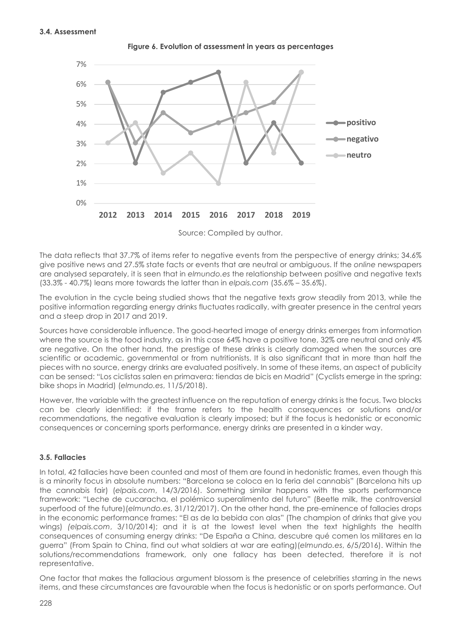

**Figure 6. Evolution of assessment in years as percentages**

Source: Compiled by author.

The data reflects that 37.7% of items refer to negative events from the perspective of energy drinks; 34.6% give positive news and 27.5% state facts or events that are neutral or ambiguous. If the *online* newspapers are analysed separately, it is seen that in *elmundo.es* the relationship between positive and negative texts (33.3% - 40.7%) leans more towards the latter than in *elpais.com* (35.6% – 35.6%).

The evolution in the cycle being studied shows that the negative texts grow steadily from 2013, while the positive information regarding energy drinks fluctuates radically, with greater presence in the central years and a steep drop in 2017 and 2019.

Sources have considerable influence. The good-hearted image of energy drinks emerges from information where the source is the food industry, as in this case 64% have a positive tone, 32% are neutral and only 4% are negative. On the other hand, the prestige of these drinks is clearly damaged when the sources are scientific or academic, governmental or from nutritionists. It is also significant that in more than half the pieces with no source, energy drinks are evaluated positively. In some of these items, an aspect of publicity can be sensed: "Los ciclistas salen en primavera: tiendas de bicis en Madrid" (Cyclists emerge in the spring: bike shops in Madrid) (*elmundo.es*, 11/5/2018).

However, the variable with the greatest influence on the reputation of energy drinks is the focus. Two blocks can be clearly identified: if the frame refers to the health consequences or solutions and/or recommendations, the negative evaluation is clearly imposed; but if the focus is hedonistic or economic consequences or concerning sports performance, energy drinks are presented in a kinder way.

# **3.5. Fallacies**

In total, 42 fallacies have been counted and most of them are found in hedonistic frames, even though this is a minority focus in absolute numbers: "Barcelona se coloca en la feria del cannabis" (Barcelona hits up the cannabis fair) (*elpais.com*, 14/3/2016). Something similar happens with the sports performance framework: "Leche de cucaracha, el polémico superalimento del futuro" (Beetle milk, the controversial superfood of the future)(*elmundo.es*, 31/12/2017). On the other hand, the pre-eminence of fallacies drops in the economic performance frames: "El as de la bebida con alas" (The champion of drinks that give you wings) *(elpais.com*, 3/10/2014); and it is at the lowest level when the text highlights the health consequences of consuming energy drinks: "De España a China, descubre qué comen los militares en la guerra" (From Spain to China, find out what soldiers at war are eating)(*elmundo.es*, 6/5/2016). Within the solutions/recommendations framework, only one fallacy has been detected, therefore it is not representative.

One factor that makes the fallacious argument blossom is the presence of celebrities starring in the news items, and these circumstances are favourable when the focus is hedonistic or on sports performance. Out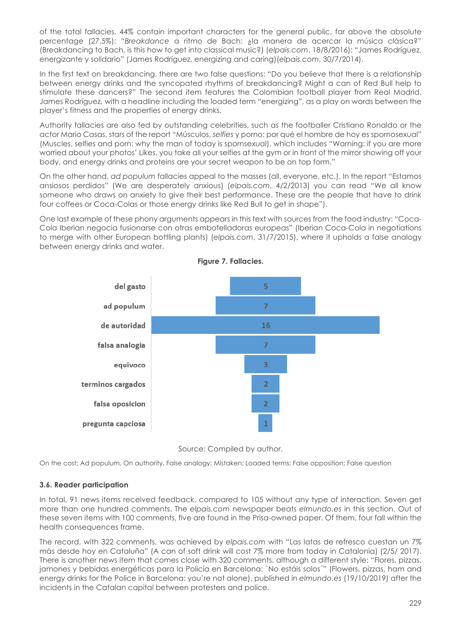of the total fallacies, 44% contain important characters for the general public, far above the absolute percentage (27.5%): "*Breakdance* a ritmo de Bach: ¿la manera de acercar la música clásica?" (Breakdancing to Bach, is this how to get into classical music?) (*elpais.com*, 18/8/2016); "James Rodríguez, energizante y solidario" (James Rodríguez, energizing and caring)(*elpais.com*, 30/7/2014).

In the first text on breakdancing, there are two false questions: "Do you believe that there is a relationship between energy drinks and the syncopated rhythms of breakdancing? Might a can of Red Bull help to stimulate these dancers?" The second item features the Colombian football player from Real Madrid, James Rodríguez, with a headline including the loaded term "energizing", as a play on words between the player's fitness and the properties of energy drinks.

Authority fallacies are also fed by outstanding celebrities, such as the footballer Cristiano Ronaldo or the actor Mario Casas, stars of the report "Músculos, *selfies* y porno: por qué el hombre de hoy es spornosexual" (Muscles, selfies and porn: why the man of today is spornsexual), which includes "Warning: if you are more worried about your photos' Likes, you take all your selfies at the gym or in front of the mirror showing off your body, and energy drinks and proteins are your secret weapon to be on top form."

On the other hand, *ad populum* fallacies appeal to the masses (all, everyone, etc.). In the report "Estamos ansiosos perdidos" (We are desperately anxious) (*elpais.com*, 4/2/2013) you can read "We all know someone who draws on anxiety to give their best performance. These are the people that have to drink four coffees or Coca-Colas or those energy drinks like Red Bull to get in shape").

One last example of these phony arguments appears in this text with sources from the food industry: "Coca-Cola Iberian negocia fusionarse con otras embotelladoras europeas" (Iberian Coca-Cola in negotiations to merge with other European bottling plants) (*elpais.com*, 31/7/2015), where it upholds a false analogy between energy drinks and water.





Source: Compiled by author.

On the cost; Ad populum, On authority, False analogy; Mistaken; Loaded terms; False opposition; False question

# **3.6. Reader participation**

In total, 91 news items received feedback, compared to 105 without any type of interaction. Seven get more than one hundred comments. The *elpais.com* newspaper beats *elmundo.es* in this section. Out of these seven items with 100 comments, five are found in the Prisa-owned paper. Of them, four fall within the health consequences frame.

The record, with 322 comments, was achieved by *elpais.com* with "Las latas de refresco cuestan un 7% más desde hoy en Cataluña" (A can of soft drink will cost 7% more from today in Catalonia) (2/5/ 2017). There is another news item that comes close with 320 comments, although a different style: "Flores, pizzas, jamones y bebidas energéticas para la Policía en Barcelona: `No estáis solos´" (Flowers, pizzas, ham and energy drinks for the Police in Barcelona: you're not alone), published in *elmundo.es* (19/10/2019) after the incidents in the Catalan capital between protesters and police.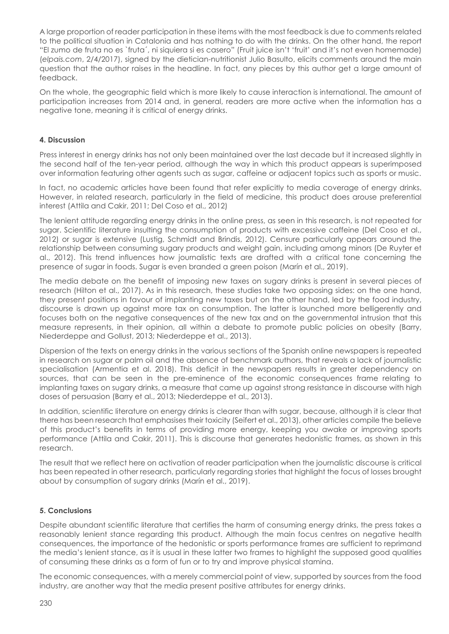A large proportion of reader participation in these items with the most feedback is due to comments related to the political situation in Catalonia and has nothing to do with the drinks. On the other hand, the report "El zumo de fruta no es `fruta´, ni siquiera si es casero" (Fruit juice isn't 'fruit' and it's not even homemade) (*elpais.com*, 2/4/2017), signed by the dietician-nutritionist Julio Basulto, elicits comments around the main question that the author raises in the headline. In fact, any pieces by this author get a large amount of feedback.

On the whole, the geographic field which is more likely to cause interaction is international. The amount of participation increases from 2014 and, in general, readers are more active when the information has a negative tone, meaning it is critical of energy drinks.

### **4. Discussion**

Press interest in energy drinks has not only been maintained over the last decade but it increased slightly in the second half of the ten-year period, although the way in which this product appears is superimposed over information featuring other agents such as sugar, caffeine or adjacent topics such as sports or music.

In fact, no academic articles have been found that refer explicitly to media coverage of energy drinks. However, in related research, particularly in the field of medicine, this product does arouse preferential interest (Attila and Cakir, 2011; Del Coso et al., 2012)

The lenient attitude regarding energy drinks in the online press, as seen in this research, is not repeated for sugar. Scientific literature insulting the consumption of products with excessive caffeine (Del Coso et al., 2012) or sugar is extensive (Lustig, Schmidt and Brindis, 2012). Censure particularly appears around the relationship between consuming sugary products and weight gain, including among minors (De Ruyter et al., 2012). This trend influences how journalistic texts are drafted with a critical tone concerning the presence of sugar in foods. Sugar is even branded a green poison (Marín et al., 2019).

The media debate on the benefit of imposing new taxes on sugary drinks is present in several pieces of research (Hilton et al., 2017). As in this research, these studies take two opposing sides: on the one hand, they present positions in favour of implanting new taxes but on the other hand, led by the food industry, discourse is drawn up against more tax on consumption. The latter is launched more belligerently and focuses both on the negative consequences of the new tax and on the governmental intrusion that this measure represents, in their opinion, all within a debate to promote public policies on obesity (Barry, Niederdeppe and Gollust, 2013; Niederdeppe et al., 2013).

Dispersion of the texts on energy drinks in the various sections of the Spanish online newspapers is repeated in research on sugar or palm oil and the absence of benchmark authors, that reveals a lack of journalistic specialisation (Armentia et al. 2018). This deficit in the newspapers results in greater dependency on sources, that can be seen in the pre-eminence of the economic consequences frame relating to implanting taxes on sugary drinks, a measure that came up against strong resistance in discourse with high doses of persuasion (Barry et al., 2013; Niederdeppe et al., 2013).

In addition, scientific literature on energy drinks is clearer than with sugar, because, although it is clear that there has been research that emphasises their toxicity (Seifert et al., 2013), other articles compile the believe of this product's benefits in terms of providing more energy, keeping you awake or improving sports performance (Attila and Cakir, 2011). This is discourse that generates hedonistic frames, as shown in this research.

The result that we reflect here on activation of reader participation when the journalistic discourse is critical has been repeated in other research, particularly regarding stories that highlight the focus of losses brought about by consumption of sugary drinks (Marín et al., 2019).

#### **5. Conclusions**

Despite abundant scientific literature that certifies the harm of consuming energy drinks, the press takes a reasonably lenient stance regarding this product. Although the main focus centres on negative health consequences, the importance of the hedonistic or sports performance frames are sufficient to reprimand the media's lenient stance, as it is usual in these latter two frames to highlight the supposed good qualities of consuming these drinks as a form of fun or to try and improve physical stamina.

The economic consequences, with a merely commercial point of view, supported by sources from the food industry, are another way that the media present positive attributes for energy drinks.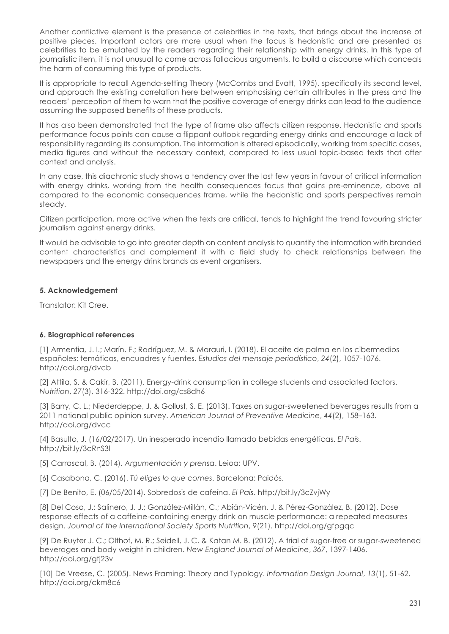Another conflictive element is the presence of celebrities in the texts, that brings about the increase of positive pieces. Important actors are more usual when the focus is hedonistic and are presented as celebrities to be emulated by the readers regarding their relationship with energy drinks. In this type of journalistic item, it is not unusual to come across fallacious arguments, to build a discourse which conceals the harm of consuming this type of products.

It is appropriate to recall Agenda-setting Theory (McCombs and Evatt, 1995), specifically its second level, and approach the existing correlation here between emphasising certain attributes in the press and the readers' perception of them to warn that the positive coverage of energy drinks can lead to the audience assuming the supposed benefits of these products.

It has also been demonstrated that the type of frame also affects citizen response. Hedonistic and sports performance focus points can cause a flippant outlook regarding energy drinks and encourage a lack of responsibility regarding its consumption. The information is offered episodically, working from specific cases, media figures and without the necessary context, compared to less usual topic-based texts that offer context and analysis.

In any case, this diachronic study shows a tendency over the last few years in favour of critical information with energy drinks, working from the health consequences focus that gains pre-eminence, above all compared to the economic consequences frame, while the hedonistic and sports perspectives remain steady.

Citizen participation, more active when the texts are critical, tends to highlight the trend favouring stricter journalism against energy drinks.

It would be advisable to go into greater depth on content analysis to quantify the information with branded content characteristics and complement it with a field study to check relationships between the newspapers and the energy drink brands as event organisers.

#### **5. Acknowledgement**

Translator: Kit Cree.

# **6. Biographical references**

[1] Armentia, J. I.; Marín, F.; Rodríguez, M. & Marauri, I. (2018). El aceite de palma en los cibermedios españoles: temáticas, encuadres y fuentes. *Estudios del mensaje periodístico*, *24*(2), 1057-1076. http://doi.org/dvcb

[2] Attila, S. & Cakir, B. (2011). Energy-drink consumption in college students and associated factors. *Nutrition*, *27*(3), 316-322. http://doi.org/cs8dh6

[3] Barry, C. L.; Niederdeppe, J. & Gollust, S. E. (2013). Taxes on sugar-sweetened beverages results from a 2011 national public opinion survey. *American Journal of Preventive Medicine*, *44*(2), 158–163. http://doi.org/dvcc

[4] Basulto, J. (16/02/2017). Un inesperado incendio llamado bebidas energéticas. *El País*. http://bit.ly/3cRnS3l

[5] Carrascal, B. (2014). *Argumentación y prensa*. Leioa: UPV.

[6] Casabona, C. (2016). *Tú eliges lo que comes*. Barcelona: Paidós.

[7] De Benito, E. (06/05/2014). Sobredosis de cafeína. *El País*. http://bit.ly/3cZvjWy

[8] Del Coso, J.; Salinero, J. J.; González-Millán, C.; Abián-Vicén, J. & Pérez-González, B. (2012). Dose response effects of a caffeine-containing energy drink on muscle performance: a repeated measures design. *Journal of the International Society Sports Nutrition*, *9*(21). http://doi.org/gfpgqc

[9] De Ruyter J. C.; Olthof, M. R.; Seidell, J. C. & Katan M. B. (2012). A trial of sugar-free or sugar-sweetened beverages and body weight in children. *New England Journal of Medicine*, *367*, 1397-1406. http://doi.org/gfj23v

[10] De Vreese, C. (2005). News Framing: Theory and Typology. *Information Design Journal*, *13*(1), 51-62. http://doi.org/ckm8c6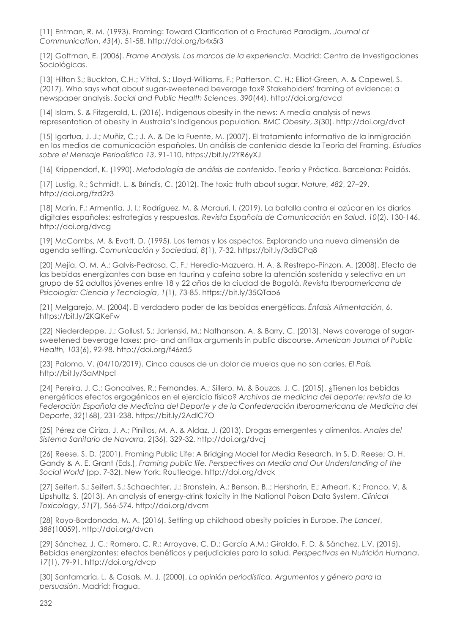[11] Entman, R. M. (1993). Framing: Toward Clarification of a Fractured Paradigm. *Journal of Communication*, *43*(4), 51-58. http://doi.org/b4x5r3

[12] Goffman, E. (2006). *Frame Analysis. Los marcos de la experiencia*. Madrid: Centro de Investigaciones Sociológicas.

[13] Hilton S.; Buckton, C.H.; Vittal, S.; Lloyd-Williams, F.; Patterson. C. H.; Elliot-Green, A. & Capewel, S. (2017). Who says what about sugar-sweetened beverage tax? Stakeholders' framing of evidence: a newspaper analysis. *Social and Public Health Sciences*, *390*(44). http://doi.org/dvcd

[14] Islam, S. & Fitzgerald, L. (2016). Indigenous obesity in the news: A media analysis of news representation of obesity in Australia's Indigenous population*. BMC Obesity*, *3*(30). http://doi.org/dvcf

[15] Igartua, J. J.; Muñiz, C.; J. A. & De la Fuente, M. (2007). El tratamiento informativo de la inmigración en los medios de comunicación españoles. Un análisis de contenido desde la Teoría del Framing. *Estudios sobre el Mensaje Periodístico 13*, 91-110. https://bit.ly/2YR6yXJ

[16] Krippendorf, K. (1990). *Metodología de análisis de contenido*. Teoría y Práctica. Barcelona: Paidós.

[17] Lustig, R.; Schmidt, L. & Brindis, C. (2012). The toxic truth about sugar. *Nature, 482*, 27–29. http://doi.org/fzd2z3

[18] Marín, F.; Armentia, J. I.; Rodríguez, M. & Marauri, I. (2019). La batalla contra el azúcar en los diarios digitales españoles: estrategias y respuestas. *Revista Española de Comunicación en Salud*, *10*(2), 130-146. http://doi.org/dvcg

[19] McCombs, M. & Evatt, D. (1995). Los temas y los aspectos. Explorando una nueva dimensión de agenda setting. *Comunicación y Sociedad*, *8*(1), 7-32. https://bit.ly/3dBCPq8

[20] Mejía, O. M. A.; Galvis-Pedrosa, C. F.; Heredia-Mazuera, H. A. & Restrepo-Pinzon, A. (2008). Efecto de las bebidas energizantes con base en taurina y cafeína sobre la atención sostenida y selectiva en un grupo de 52 adultos jóvenes entre 18 y 22 años de la ciudad de Bogotá. *Revista Iberoamericana de Psicología: Ciencia y Tecnología*, *1*(1), 73-85. https://bit.ly/35QTao6

[21] Melgarejo, M. (2004). El verdadero poder de las bebidas energéticas. *Énfasis Alimentación*, 6. https://bit.ly/2KQKeFw

[22] Niederdeppe, J.; Gollust, S.; Jarlenski, M.; Nathanson, A. & Barry, C. (2013). News coverage of sugarsweetened beverage taxes: pro- and antitax arguments in public discourse. *American Journal of Public Health, 103*(6), 92-98. http://doi.org/f46zd5

[23] Palomo, V. (04/10/2019). Cinco causas de un dolor de muelas que no son caries. *El País.* http://bit.ly/3aMNpcl

[24] Pereira, J. C.; Goncalves, R.; Fernandes, A.; Sillero, M. & Bouzas, J. C. (2015). ¿Tienen las bebidas energéticas efectos ergogénicos en el ejercicio físico? *Archivos de medicina del deporte: revista de la Federación Española de Medicina del Deporte y de la Confederación Iberoamericana de Medicina del Deporte*, *32*(168), 231-238. https://bit.ly/2AdlC7O

[25] Pérez de Ciriza, J. A.; Pinillos, M. A. & Aldaz, J. (2013). Drogas emergentes y alimentos. *Anales del Sistema Sanitario de Navarra*, *2*(36), 329-32. http://doi.org/dvcj

[26] Reese, S. D. (2001). Framing Public Life: A Bridging Model for Media Research. In S. D. Reese; O. H. Gandy & A. E. Grant (Eds.), *Framing public life. Perspectives on Media and Our Understanding of the Social World* (pp. 7-32). New York: Routledge. http://doi.org/dvck

[27] Seifert, S.; Seifert, S.; Schaechter, J.; Bronstein, A.; Benson, B..; Hershorin, E.; Arheart, K.; Franco, V. & Lipshultz, S. (2013). An analysis of energy-drink toxicity in the National Poison Data System. *Clinical Toxicology*, *51*(7), 566-574. http://doi.org/dvcm

[28] Royo-Bordonada, M. A. (2016). Setting up childhood obesity policies in Europe. *The Lancet*, *388*(10059). http://doi.org/dvcn

[29] Sánchez, J. C.; Romero, C. R.; Arroyave, C. D.; García A.M.; Giraldo, F. D. & Sánchez, L.V. (2015). Bebidas energizantes: efectos benéficos y perjudiciales para la salud. *Perspectivas en Nutrición Humana*, *17*(1), 79-91. http://doi.org/dvcp

[30] Santamaría, L. & Casals, M. J. (2000). *La opinión periodística. Argumentos y género para la persuasión*. Madrid: Fragua.